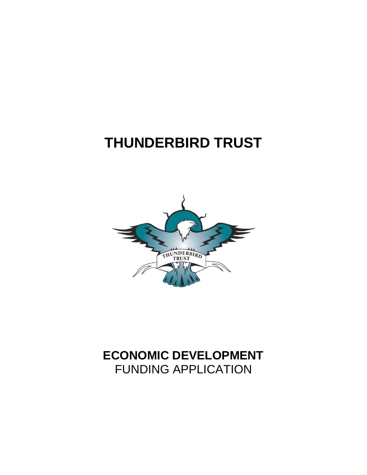# **THUNDERBIRD TRUST**



## **ECONOMIC DEVELOPMENT**  FUNDING APPLICATION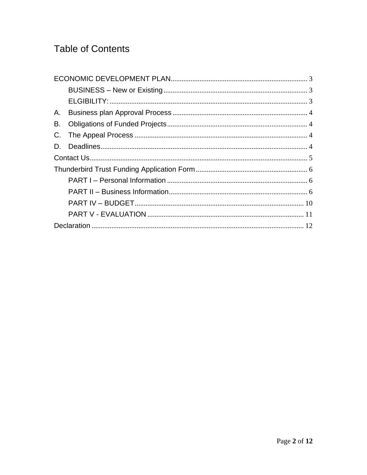## **Table of Contents**

| Α. |  |  |  |  |
|----|--|--|--|--|
| В. |  |  |  |  |
| C. |  |  |  |  |
| D. |  |  |  |  |
|    |  |  |  |  |
|    |  |  |  |  |
|    |  |  |  |  |
|    |  |  |  |  |
|    |  |  |  |  |
|    |  |  |  |  |
|    |  |  |  |  |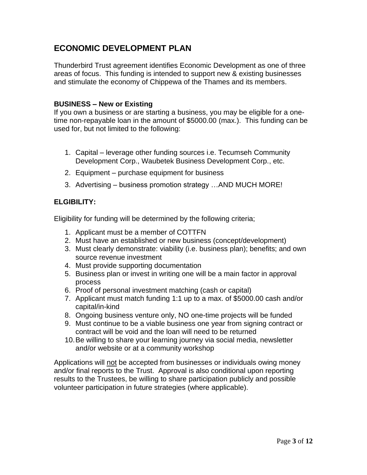## <span id="page-2-0"></span>**ECONOMIC DEVELOPMENT PLAN**

Thunderbird Trust agreement identifies Economic Development as one of three areas of focus. This funding is intended to support new & existing businesses and stimulate the economy of Chippewa of the Thames and its members.

#### <span id="page-2-1"></span>**BUSINESS – New or Existing**

If you own a business or are starting a business, you may be eligible for a onetime non-repayable loan in the amount of \$5000.00 (max.). This funding can be used for, but not limited to the following:

- 1. Capital leverage other funding sources i.e. Tecumseh Community Development Corp., Waubetek Business Development Corp., etc.
- 2. Equipment purchase equipment for business
- 3. Advertising business promotion strategy …AND MUCH MORE!

#### <span id="page-2-2"></span>**ELGIBILITY:**

Eligibility for funding will be determined by the following criteria;

- 1. Applicant must be a member of COTTFN
- 2. Must have an established or new business (concept/development)
- 3. Must clearly demonstrate: viability (i.e. business plan); benefits; and own source revenue investment
- 4. Must provide supporting documentation
- 5. Business plan or invest in writing one will be a main factor in approval process
- 6. Proof of personal investment matching (cash or capital)
- 7. Applicant must match funding 1:1 up to a max. of \$5000.00 cash and/or capital/in-kind
- 8. Ongoing business venture only, NO one-time projects will be funded
- 9. Must continue to be a viable business one year from signing contract or contract will be void and the loan will need to be returned
- 10.Be willing to share your learning journey via social media, newsletter and/or website or at a community workshop

Applications will not be accepted from businesses or individuals owing money and/or final reports to the Trust. Approval is also conditional upon reporting results to the Trustees, be willing to share participation publicly and possible volunteer participation in future strategies (where applicable).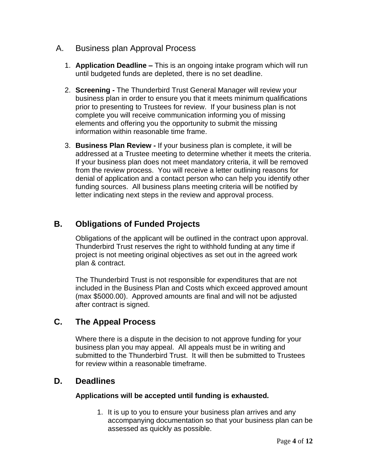- <span id="page-3-0"></span>A. Business plan Approval Process
	- 1. **Application Deadline –** This is an ongoing intake program which will run until budgeted funds are depleted, there is no set deadline.
	- 2. **Screening -** The Thunderbird Trust General Manager will review your business plan in order to ensure you that it meets minimum qualifications prior to presenting to Trustees for review. If your business plan is not complete you will receive communication informing you of missing elements and offering you the opportunity to submit the missing information within reasonable time frame.
	- 3. **Business Plan Review -** If your business plan is complete, it will be addressed at a Trustee meeting to determine whether it meets the criteria. If your business plan does not meet mandatory criteria, it will be removed from the review process. You will receive a letter outlining reasons for denial of application and a contact person who can help you identify other funding sources. All business plans meeting criteria will be notified by letter indicating next steps in the review and approval process.

## <span id="page-3-1"></span>**B. Obligations of Funded Projects**

Obligations of the applicant will be outlined in the contract upon approval. Thunderbird Trust reserves the right to withhold funding at any time if project is not meeting original objectives as set out in the agreed work plan & contract.

The Thunderbird Trust is not responsible for expenditures that are not included in the Business Plan and Costs which exceed approved amount (max \$5000.00). Approved amounts are final and will not be adjusted after contract is signed.

## <span id="page-3-2"></span>**C. The Appeal Process**

Where there is a dispute in the decision to not approve funding for your business plan you may appeal. All appeals must be in writing and submitted to the Thunderbird Trust. It will then be submitted to Trustees for review within a reasonable timeframe.

## <span id="page-3-3"></span>**D. Deadlines**

#### **Applications will be accepted until funding is exhausted.**

1. It is up to you to ensure your business plan arrives and any accompanying documentation so that your business plan can be assessed as quickly as possible.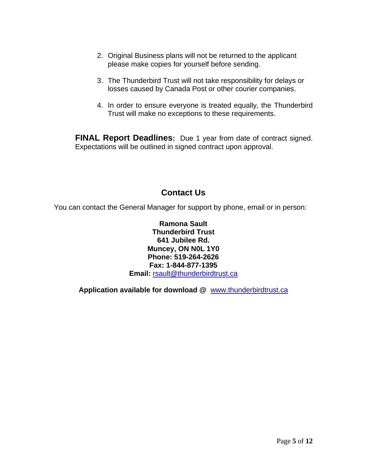- 2. Original Business plans will not be returned to the applicant please make copies for yourself before sending.
- 3. The Thunderbird Trust will not take responsibility for delays or losses caused by Canada Post or other courier companies.
- 4. In order to ensure everyone is treated equally, the Thunderbird Trust will make no exceptions to these requirements.

**FINAL Report Deadlines:** Due 1 year from date of contract signed. Expectations will be outlined in signed contract upon approval.

## **Contact Us**

<span id="page-4-0"></span>You can contact the General Manager for support by phone, email or in person:

**Ramona Sault Thunderbird Trust 641 Jubilee Rd. Muncey, ON N0L 1Y0 Phone: 519-264-2626 Fax: 1-844-877-1395 Email:** [rsault@thunderbirdtrust.ca](mailto:rsault@thunderbirdtrust.ca)

**Application available for download @** [www.thunderbirdtrust.ca](http://www.thunderbirdtrust.ca/)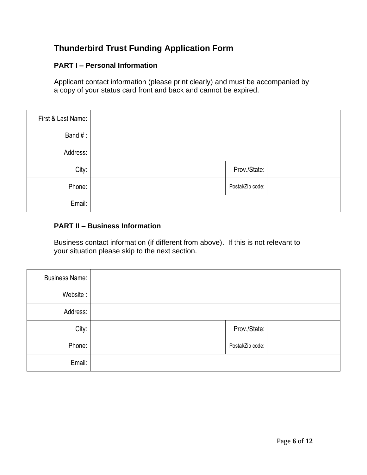## <span id="page-5-0"></span>**Thunderbird Trust Funding Application Form**

#### <span id="page-5-1"></span>**PART I – Personal Information**

Applicant contact information (please print clearly) and must be accompanied by a copy of your status card front and back and cannot be expired.

| First & Last Name: |                  |
|--------------------|------------------|
| Band#:             |                  |
| Address:           |                  |
| City:              | Prov./State:     |
| Phone:             | Postal/Zip code: |
| Email:             |                  |

#### <span id="page-5-2"></span>**PART II – Business Information**

Business contact information (if different from above). If this is not relevant to your situation please skip to the next section.

| <b>Business Name:</b> |                  |
|-----------------------|------------------|
| Website:              |                  |
| Address:              |                  |
| City:                 | Prov./State:     |
| Phone:                | Postal/Zip code: |
| Email:                |                  |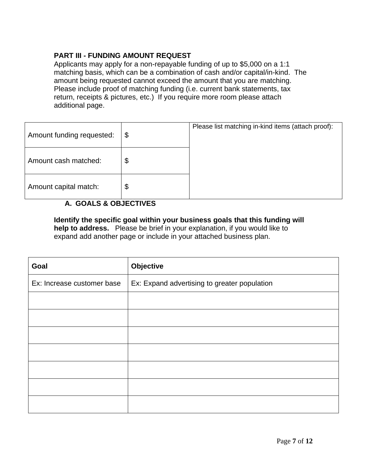#### **PART III - FUNDING AMOUNT REQUEST**

Applicants may apply for a non-repayable funding of up to \$5,000 on a 1:1 matching basis, which can be a combination of cash and/or capital/in-kind. The amount being requested cannot exceed the amount that you are matching. Please include proof of matching funding (i.e. current bank statements, tax return, receipts & pictures, etc.) If you require more room please attach additional page.

| Amount funding requested: | \$<br>Please list matching in-kind items (attach proof): |
|---------------------------|----------------------------------------------------------|
| Amount cash matched:      | \$                                                       |
| Amount capital match:     | \$                                                       |

#### **A. GOALS & OBJECTIVES**

**Identify the specific goal within your business goals that this funding will help to address.** Please be brief in your explanation, if you would like to expand add another page or include in your attached business plan.

| Goal                       | Objective                                    |  |
|----------------------------|----------------------------------------------|--|
| Ex: Increase customer base | Ex: Expand advertising to greater population |  |
|                            |                                              |  |
|                            |                                              |  |
|                            |                                              |  |
|                            |                                              |  |
|                            |                                              |  |
|                            |                                              |  |
|                            |                                              |  |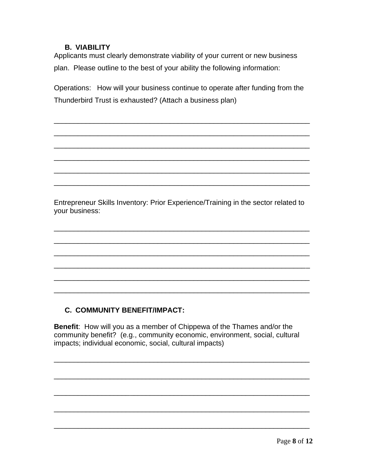#### **B. VIABILITY**

Applicants must clearly demonstrate viability of your current or new business plan. Please outline to the best of your ability the following information:

Operations: How will your business continue to operate after funding from the Thunderbird Trust is exhausted? (Attach a business plan)

\_\_\_\_\_\_\_\_\_\_\_\_\_\_\_\_\_\_\_\_\_\_\_\_\_\_\_\_\_\_\_\_\_\_\_\_\_\_\_\_\_\_\_\_\_\_\_\_\_\_\_\_\_\_\_\_\_\_\_\_\_\_\_\_

\_\_\_\_\_\_\_\_\_\_\_\_\_\_\_\_\_\_\_\_\_\_\_\_\_\_\_\_\_\_\_\_\_\_\_\_\_\_\_\_\_\_\_\_\_\_\_\_\_\_\_\_\_\_\_\_\_\_\_\_\_\_\_\_

\_\_\_\_\_\_\_\_\_\_\_\_\_\_\_\_\_\_\_\_\_\_\_\_\_\_\_\_\_\_\_\_\_\_\_\_\_\_\_\_\_\_\_\_\_\_\_\_\_\_\_\_\_\_\_\_\_\_\_\_\_\_\_\_

\_\_\_\_\_\_\_\_\_\_\_\_\_\_\_\_\_\_\_\_\_\_\_\_\_\_\_\_\_\_\_\_\_\_\_\_\_\_\_\_\_\_\_\_\_\_\_\_\_\_\_\_\_\_\_\_\_\_\_\_\_\_\_\_

\_\_\_\_\_\_\_\_\_\_\_\_\_\_\_\_\_\_\_\_\_\_\_\_\_\_\_\_\_\_\_\_\_\_\_\_\_\_\_\_\_\_\_\_\_\_\_\_\_\_\_\_\_\_\_\_\_\_\_\_\_\_\_\_

\_\_\_\_\_\_\_\_\_\_\_\_\_\_\_\_\_\_\_\_\_\_\_\_\_\_\_\_\_\_\_\_\_\_\_\_\_\_\_\_\_\_\_\_\_\_\_\_\_\_\_\_\_\_\_\_\_\_\_\_\_\_\_\_

Entrepreneur Skills Inventory: Prior Experience/Training in the sector related to your business:

\_\_\_\_\_\_\_\_\_\_\_\_\_\_\_\_\_\_\_\_\_\_\_\_\_\_\_\_\_\_\_\_\_\_\_\_\_\_\_\_\_\_\_\_\_\_\_\_\_\_\_\_\_\_\_\_\_\_\_\_\_\_\_\_

\_\_\_\_\_\_\_\_\_\_\_\_\_\_\_\_\_\_\_\_\_\_\_\_\_\_\_\_\_\_\_\_\_\_\_\_\_\_\_\_\_\_\_\_\_\_\_\_\_\_\_\_\_\_\_\_\_\_\_\_\_\_\_\_

\_\_\_\_\_\_\_\_\_\_\_\_\_\_\_\_\_\_\_\_\_\_\_\_\_\_\_\_\_\_\_\_\_\_\_\_\_\_\_\_\_\_\_\_\_\_\_\_\_\_\_\_\_\_\_\_\_\_\_\_\_\_\_\_

\_\_\_\_\_\_\_\_\_\_\_\_\_\_\_\_\_\_\_\_\_\_\_\_\_\_\_\_\_\_\_\_\_\_\_\_\_\_\_\_\_\_\_\_\_\_\_\_\_\_\_\_\_\_\_\_\_\_\_\_\_\_\_\_

\_\_\_\_\_\_\_\_\_\_\_\_\_\_\_\_\_\_\_\_\_\_\_\_\_\_\_\_\_\_\_\_\_\_\_\_\_\_\_\_\_\_\_\_\_\_\_\_\_\_\_\_\_\_\_\_\_\_\_\_\_\_\_\_

\_\_\_\_\_\_\_\_\_\_\_\_\_\_\_\_\_\_\_\_\_\_\_\_\_\_\_\_\_\_\_\_\_\_\_\_\_\_\_\_\_\_\_\_\_\_\_\_\_\_\_\_\_\_\_\_\_\_\_\_\_\_\_\_

#### **C. COMMUNITY BENEFIT/IMPACT:**

**Benefit**: How will you as a member of Chippewa of the Thames and/or the community benefit? (e.g., community economic, environment, social, cultural impacts; individual economic, social, cultural impacts)

\_\_\_\_\_\_\_\_\_\_\_\_\_\_\_\_\_\_\_\_\_\_\_\_\_\_\_\_\_\_\_\_\_\_\_\_\_\_\_\_\_\_\_\_\_\_\_\_\_\_\_\_\_\_\_\_\_\_\_\_\_\_\_\_

\_\_\_\_\_\_\_\_\_\_\_\_\_\_\_\_\_\_\_\_\_\_\_\_\_\_\_\_\_\_\_\_\_\_\_\_\_\_\_\_\_\_\_\_\_\_\_\_\_\_\_\_\_\_\_\_\_\_\_\_\_\_\_\_

\_\_\_\_\_\_\_\_\_\_\_\_\_\_\_\_\_\_\_\_\_\_\_\_\_\_\_\_\_\_\_\_\_\_\_\_\_\_\_\_\_\_\_\_\_\_\_\_\_\_\_\_\_\_\_\_\_\_\_\_\_\_\_\_

\_\_\_\_\_\_\_\_\_\_\_\_\_\_\_\_\_\_\_\_\_\_\_\_\_\_\_\_\_\_\_\_\_\_\_\_\_\_\_\_\_\_\_\_\_\_\_\_\_\_\_\_\_\_\_\_\_\_\_\_\_\_\_\_

\_\_\_\_\_\_\_\_\_\_\_\_\_\_\_\_\_\_\_\_\_\_\_\_\_\_\_\_\_\_\_\_\_\_\_\_\_\_\_\_\_\_\_\_\_\_\_\_\_\_\_\_\_\_\_\_\_\_\_\_\_\_\_\_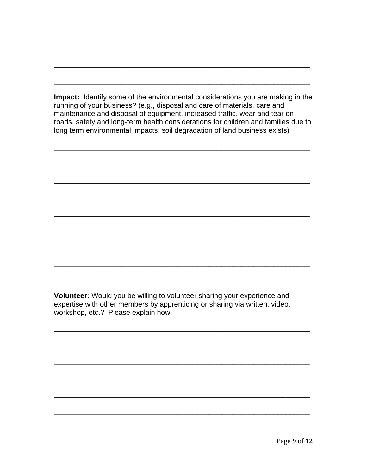**Impact:** Identify some of the environmental considerations you are making in the running of your business? (e.g., disposal and care of materials, care and maintenance and disposal of equipment, increased traffic, wear and tear on roads, safety and long-term health considerations for children and families due to long term environmental impacts; soil degradation of land business exists)

\_\_\_\_\_\_\_\_\_\_\_\_\_\_\_\_\_\_\_\_\_\_\_\_\_\_\_\_\_\_\_\_\_\_\_\_\_\_\_\_\_\_\_\_\_\_\_\_\_\_\_\_\_\_\_\_\_\_\_\_\_\_\_\_

\_\_\_\_\_\_\_\_\_\_\_\_\_\_\_\_\_\_\_\_\_\_\_\_\_\_\_\_\_\_\_\_\_\_\_\_\_\_\_\_\_\_\_\_\_\_\_\_\_\_\_\_\_\_\_\_\_\_\_\_\_\_\_\_

\_\_\_\_\_\_\_\_\_\_\_\_\_\_\_\_\_\_\_\_\_\_\_\_\_\_\_\_\_\_\_\_\_\_\_\_\_\_\_\_\_\_\_\_\_\_\_\_\_\_\_\_\_\_\_\_\_\_\_\_\_\_\_\_

\_\_\_\_\_\_\_\_\_\_\_\_\_\_\_\_\_\_\_\_\_\_\_\_\_\_\_\_\_\_\_\_\_\_\_\_\_\_\_\_\_\_\_\_\_\_\_\_\_\_\_\_\_\_\_\_\_\_\_\_\_\_\_\_

\_\_\_\_\_\_\_\_\_\_\_\_\_\_\_\_\_\_\_\_\_\_\_\_\_\_\_\_\_\_\_\_\_\_\_\_\_\_\_\_\_\_\_\_\_\_\_\_\_\_\_\_\_\_\_\_\_\_\_\_\_\_\_\_

\_\_\_\_\_\_\_\_\_\_\_\_\_\_\_\_\_\_\_\_\_\_\_\_\_\_\_\_\_\_\_\_\_\_\_\_\_\_\_\_\_\_\_\_\_\_\_\_\_\_\_\_\_\_\_\_\_\_\_\_\_\_\_\_

\_\_\_\_\_\_\_\_\_\_\_\_\_\_\_\_\_\_\_\_\_\_\_\_\_\_\_\_\_\_\_\_\_\_\_\_\_\_\_\_\_\_\_\_\_\_\_\_\_\_\_\_\_\_\_\_\_\_\_\_\_\_\_\_

\_\_\_\_\_\_\_\_\_\_\_\_\_\_\_\_\_\_\_\_\_\_\_\_\_\_\_\_\_\_\_\_\_\_\_\_\_\_\_\_\_\_\_\_\_\_\_\_\_\_\_\_\_\_\_\_\_\_\_\_\_\_\_\_

\_\_\_\_\_\_\_\_\_\_\_\_\_\_\_\_\_\_\_\_\_\_\_\_\_\_\_\_\_\_\_\_\_\_\_\_\_\_\_\_\_\_\_\_\_\_\_\_\_\_\_\_\_\_\_\_\_\_\_\_\_\_\_\_

\_\_\_\_\_\_\_\_\_\_\_\_\_\_\_\_\_\_\_\_\_\_\_\_\_\_\_\_\_\_\_\_\_\_\_\_\_\_\_\_\_\_\_\_\_\_\_\_\_\_\_\_\_\_\_\_\_\_\_\_\_\_\_\_

\_\_\_\_\_\_\_\_\_\_\_\_\_\_\_\_\_\_\_\_\_\_\_\_\_\_\_\_\_\_\_\_\_\_\_\_\_\_\_\_\_\_\_\_\_\_\_\_\_\_\_\_\_\_\_\_\_\_\_\_\_\_\_\_

\_\_\_\_\_\_\_\_\_\_\_\_\_\_\_\_\_\_\_\_\_\_\_\_\_\_\_\_\_\_\_\_\_\_\_\_\_\_\_\_\_\_\_\_\_\_\_\_\_\_\_\_\_\_\_\_\_\_\_\_\_\_\_\_

\_\_\_\_\_\_\_\_\_\_\_\_\_\_\_\_\_\_\_\_\_\_\_\_\_\_\_\_\_\_\_\_\_\_\_\_\_\_\_\_\_\_\_\_\_\_\_\_\_\_\_\_\_\_\_\_\_\_\_\_\_\_\_\_

\_\_\_\_\_\_\_\_\_\_\_\_\_\_\_\_\_\_\_\_\_\_\_\_\_\_\_\_\_\_\_\_\_\_\_\_\_\_\_\_\_\_\_\_\_\_\_\_\_\_\_\_\_\_\_\_\_\_\_\_\_\_\_\_

\_\_\_\_\_\_\_\_\_\_\_\_\_\_\_\_\_\_\_\_\_\_\_\_\_\_\_\_\_\_\_\_\_\_\_\_\_\_\_\_\_\_\_\_\_\_\_\_\_\_\_\_\_\_\_\_\_\_\_\_\_\_\_\_

\_\_\_\_\_\_\_\_\_\_\_\_\_\_\_\_\_\_\_\_\_\_\_\_\_\_\_\_\_\_\_\_\_\_\_\_\_\_\_\_\_\_\_\_\_\_\_\_\_\_\_\_\_\_\_\_\_\_\_\_\_\_\_\_

\_\_\_\_\_\_\_\_\_\_\_\_\_\_\_\_\_\_\_\_\_\_\_\_\_\_\_\_\_\_\_\_\_\_\_\_\_\_\_\_\_\_\_\_\_\_\_\_\_\_\_\_\_\_\_\_\_\_\_\_\_\_\_\_

**Volunteer:** Would you be willing to volunteer sharing your experience and expertise with other members by apprenticing or sharing via written, video, workshop, etc.? Please explain how.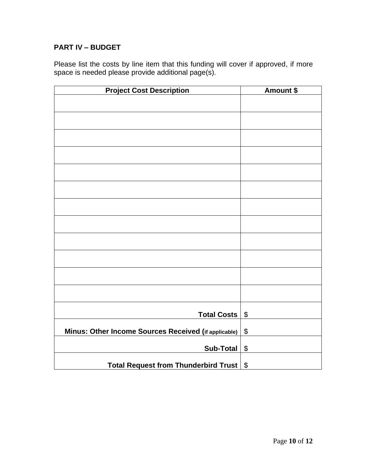### <span id="page-9-0"></span>**PART IV – BUDGET**

Please list the costs by line item that this funding will cover if approved, if more space is needed please provide additional page(s).

<span id="page-9-1"></span>

| <b>Project Cost Description</b>                      | <b>Amount \$</b>      |
|------------------------------------------------------|-----------------------|
|                                                      |                       |
|                                                      |                       |
|                                                      |                       |
|                                                      |                       |
|                                                      |                       |
|                                                      |                       |
|                                                      |                       |
|                                                      |                       |
|                                                      |                       |
|                                                      |                       |
|                                                      |                       |
|                                                      |                       |
|                                                      |                       |
|                                                      |                       |
|                                                      |                       |
|                                                      |                       |
|                                                      |                       |
|                                                      |                       |
| <b>Total Costs</b>                                   | $\boldsymbol{\$}$     |
| Minus: Other Income Sources Received (if applicable) | $\boldsymbol{\$}$     |
| <b>Sub-Total</b>                                     | $\boldsymbol{\theta}$ |
| <b>Total Request from Thunderbird Trust</b>          | $\boldsymbol{\$}$     |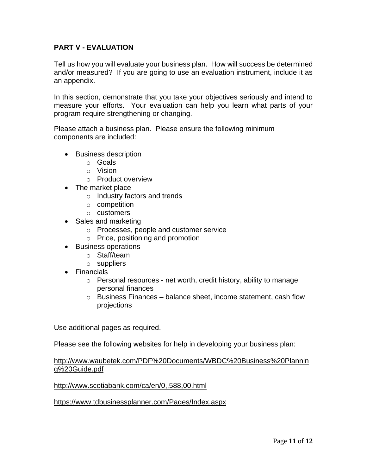#### **PART V - EVALUATION**

Tell us how you will evaluate your business plan. How will success be determined and/or measured? If you are going to use an evaluation instrument, include it as an appendix.

In this section, demonstrate that you take your objectives seriously and intend to measure your efforts. Your evaluation can help you learn what parts of your program require strengthening or changing.

Please attach a business plan. Please ensure the following minimum components are included:

- Business description
	- o Goals
	- o Vision
	- o Product overview
- The market place
	- o Industry factors and trends
	- o competition
	- o customers
- Sales and marketing
	- o Processes, people and customer service
	- o Price, positioning and promotion
- Business operations
	- o Staff/team
	- o suppliers
- Financials
	- o Personal resources net worth, credit history, ability to manage personal finances
	- o Business Finances balance sheet, income statement, cash flow projections

Use additional pages as required.

Please see the following websites for help in developing your business plan:

#### [http://www.waubetek.com/PDF%20Documents/WBDC%20Business%20Plannin](http://www.waubetek.com/PDF%20Documents/WBDC%20Business%20Planning%20Guide.pdf) [g%20Guide.pdf](http://www.waubetek.com/PDF%20Documents/WBDC%20Business%20Planning%20Guide.pdf)

<http://www.scotiabank.com/ca/en/0,,588,00.html>

<https://www.tdbusinessplanner.com/Pages/Index.aspx>